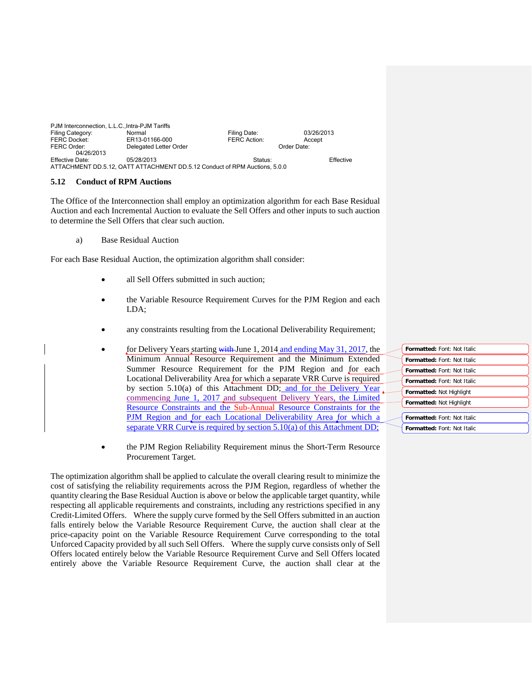| PJM Interconnection, L.L.C., Intra-PJM Tariffs |                                                                            |              |            |
|------------------------------------------------|----------------------------------------------------------------------------|--------------|------------|
| Filing Category:                               | Normal                                                                     | Filing Date: | 03/26/2013 |
| <b>FERC Docket:</b>                            | ER13-01166-000                                                             | FERC Action: | Accept     |
| FERC Order:                                    | Delegated Letter Order                                                     | Order Date:  |            |
| 04/26/2013                                     |                                                                            |              |            |
| Effective Date:                                | 05/28/2013                                                                 | Status:      | Effective  |
|                                                | ATTACHMENT DD.5.12, OATT ATTACHMENT DD.5.12 Conduct of RPM Auctions, 5.0.0 |              |            |

## **5.12 Conduct of RPM Auctions**

The Office of the Interconnection shall employ an optimization algorithm for each Base Residual Auction and each Incremental Auction to evaluate the Sell Offers and other inputs to such auction to determine the Sell Offers that clear such auction.

a) Base Residual Auction

For each Base Residual Auction, the optimization algorithm shall consider:

- all Sell Offers submitted in such auction;
- the Variable Resource Requirement Curves for the PJM Region and each LDA;
- any constraints resulting from the Locational Deliverability Requirement;
- for Delivery Years starting with June 1, 2014 and ending May 31, 2017*,* the Minimum Annual Resource Requirement and the Minimum Extended Summer Resource Requirement for the PJM Region and for each Locational Deliverability Area for which a separate VRR Curve is required by section 5.10(a) of this Attachment DD; and for the Delivery Year commencing June 1, 2017 and subsequent Delivery Years, the Limited Resource Constraints and the Sub-Annual Resource Constraints for the PJM Region and for each Locational Deliverability Area for which a separate VRR Curve is required by section 5.10(a) of this Attachment DD;
- the PJM Region Reliability Requirement minus the Short-Term Resource Procurement Target.

The optimization algorithm shall be applied to calculate the overall clearing result to minimize the cost of satisfying the reliability requirements across the PJM Region, regardless of whether the quantity clearing the Base Residual Auction is above or below the applicable target quantity, while respecting all applicable requirements and constraints, including any restrictions specified in any Credit-Limited Offers. Where the supply curve formed by the Sell Offers submitted in an auction falls entirely below the Variable Resource Requirement Curve, the auction shall clear at the price-capacity point on the Variable Resource Requirement Curve corresponding to the total Unforced Capacity provided by all such Sell Offers. Where the supply curve consists only of Sell Offers located entirely below the Variable Resource Requirement Curve and Sell Offers located entirely above the Variable Resource Requirement Curve, the auction shall clear at the

| Formatted: Font: Not Italic        |
|------------------------------------|
| <b>Formatted: Font: Not Italic</b> |
| Formatted: Font: Not Italic        |
| Formatted: Font: Not Italic        |
| <b>Formatted: Not Highlight</b>    |
| Formatted: Not Highlight           |
|                                    |
| Formatted: Font: Not Italic        |
| Formatted: Font: Not Italic        |
|                                    |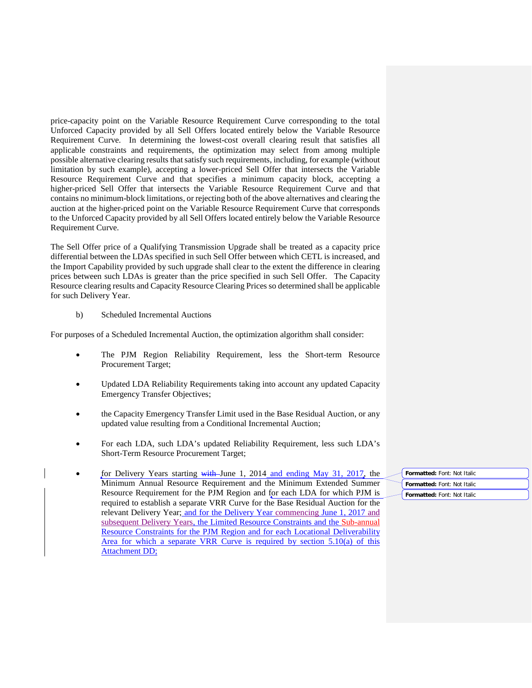price-capacity point on the Variable Resource Requirement Curve corresponding to the total Unforced Capacity provided by all Sell Offers located entirely below the Variable Resource Requirement Curve. In determining the lowest-cost overall clearing result that satisfies all applicable constraints and requirements, the optimization may select from among multiple possible alternative clearing results that satisfy such requirements, including, for example (without limitation by such example), accepting a lower-priced Sell Offer that intersects the Variable Resource Requirement Curve and that specifies a minimum capacity block, accepting a higher-priced Sell Offer that intersects the Variable Resource Requirement Curve and that contains no minimum-block limitations, or rejecting both of the above alternatives and clearing the auction at the higher-priced point on the Variable Resource Requirement Curve that corresponds to the Unforced Capacity provided by all Sell Offers located entirely below the Variable Resource Requirement Curve.

The Sell Offer price of a Qualifying Transmission Upgrade shall be treated as a capacity price differential between the LDAs specified in such Sell Offer between which CETL is increased, and the Import Capability provided by such upgrade shall clear to the extent the difference in clearing prices between such LDAs is greater than the price specified in such Sell Offer. The Capacity Resource clearing results and Capacity Resource Clearing Prices so determined shall be applicable for such Delivery Year.

## b) Scheduled Incremental Auctions

For purposes of a Scheduled Incremental Auction, the optimization algorithm shall consider:

- The PJM Region Reliability Requirement, less the Short-term Resource Procurement Target;
- Updated LDA Reliability Requirements taking into account any updated Capacity Emergency Transfer Objectives;
- the Capacity Emergency Transfer Limit used in the Base Residual Auction, or any updated value resulting from a Conditional Incremental Auction;
- For each LDA, such LDA's updated Reliability Requirement, less such LDA's Short-Term Resource Procurement Target;
- for Delivery Years starting with June 1, 2014 and ending May 31, 2017, the Minimum Annual Resource Requirement and the Minimum Extended Summer Resource Requirement for the PJM Region and for each LDA for which PJM is required to establish a separate VRR Curve for the Base Residual Auction for the relevant Delivery Year; and for the Delivery Year commencing June 1, 2017 and subsequent Delivery Years, the Limited Resource Constraints and the Sub-annual Resource Constraints for the PJM Region and for each Locational Deliverability Area for which a separate VRR Curve is required by section 5.10(a) of this Attachment DD;

**Formatted:** Font: Not Italic **Formatted:** Font: Not Italic **Formatted:** Font: Not Italic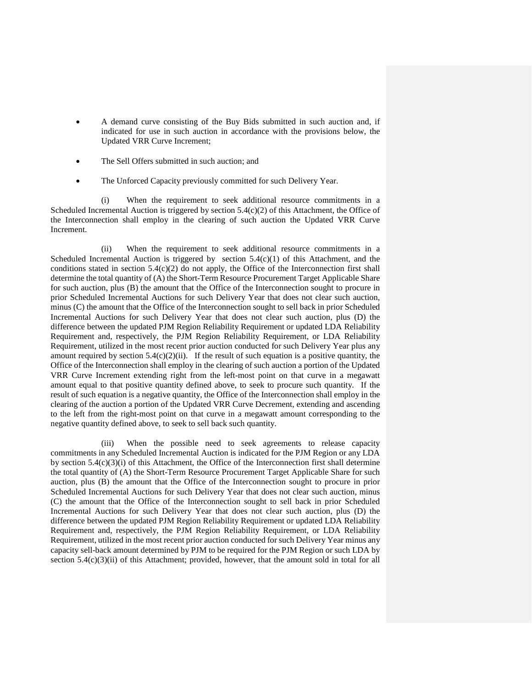- A demand curve consisting of the Buy Bids submitted in such auction and, if indicated for use in such auction in accordance with the provisions below, the Updated VRR Curve Increment;
- The Sell Offers submitted in such auction; and
- The Unforced Capacity previously committed for such Delivery Year.

(i) When the requirement to seek additional resource commitments in a Scheduled Incremental Auction is triggered by section 5.4(c)(2) of this Attachment, the Office of the Interconnection shall employ in the clearing of such auction the Updated VRR Curve Increment.

(ii) When the requirement to seek additional resource commitments in a Scheduled Incremental Auction is triggered by section  $5.4(c)(1)$  of this Attachment, and the conditions stated in section  $5.4(c)(2)$  do not apply, the Office of the Interconnection first shall determine the total quantity of (A) the Short-Term Resource Procurement Target Applicable Share for such auction, plus (B) the amount that the Office of the Interconnection sought to procure in prior Scheduled Incremental Auctions for such Delivery Year that does not clear such auction, minus (C) the amount that the Office of the Interconnection sought to sell back in prior Scheduled Incremental Auctions for such Delivery Year that does not clear such auction, plus (D) the difference between the updated PJM Region Reliability Requirement or updated LDA Reliability Requirement and, respectively, the PJM Region Reliability Requirement, or LDA Reliability Requirement, utilized in the most recent prior auction conducted for such Delivery Year plus any amount required by section  $5.4(c)(2)(ii)$ . If the result of such equation is a positive quantity, the Office of the Interconnection shall employ in the clearing of such auction a portion of the Updated VRR Curve Increment extending right from the left-most point on that curve in a megawatt amount equal to that positive quantity defined above, to seek to procure such quantity. If the result of such equation is a negative quantity, the Office of the Interconnection shall employ in the clearing of the auction a portion of the Updated VRR Curve Decrement, extending and ascending to the left from the right-most point on that curve in a megawatt amount corresponding to the negative quantity defined above, to seek to sell back such quantity.

(iii) When the possible need to seek agreements to release capacity commitments in any Scheduled Incremental Auction is indicated for the PJM Region or any LDA by section 5.4(c)(3)(i) of this Attachment, the Office of the Interconnection first shall determine the total quantity of (A) the Short-Term Resource Procurement Target Applicable Share for such auction, plus (B) the amount that the Office of the Interconnection sought to procure in prior Scheduled Incremental Auctions for such Delivery Year that does not clear such auction, minus (C) the amount that the Office of the Interconnection sought to sell back in prior Scheduled Incremental Auctions for such Delivery Year that does not clear such auction, plus (D) the difference between the updated PJM Region Reliability Requirement or updated LDA Reliability Requirement and, respectively, the PJM Region Reliability Requirement, or LDA Reliability Requirement, utilized in the most recent prior auction conducted for such Delivery Year minus any capacity sell-back amount determined by PJM to be required for the PJM Region or such LDA by section 5.4(c)(3)(ii) of this Attachment; provided, however, that the amount sold in total for all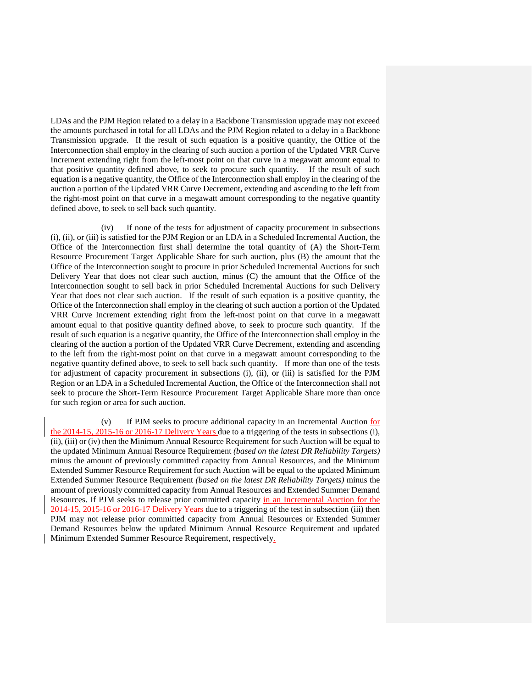LDAs and the PJM Region related to a delay in a Backbone Transmission upgrade may not exceed the amounts purchased in total for all LDAs and the PJM Region related to a delay in a Backbone Transmission upgrade. If the result of such equation is a positive quantity, the Office of the Interconnection shall employ in the clearing of such auction a portion of the Updated VRR Curve Increment extending right from the left-most point on that curve in a megawatt amount equal to that positive quantity defined above, to seek to procure such quantity. If the result of such equation is a negative quantity, the Office of the Interconnection shall employ in the clearing of the auction a portion of the Updated VRR Curve Decrement, extending and ascending to the left from the right-most point on that curve in a megawatt amount corresponding to the negative quantity defined above, to seek to sell back such quantity.

(iv) If none of the tests for adjustment of capacity procurement in subsections (i), (ii), or (iii) is satisfied for the PJM Region or an LDA in a Scheduled Incremental Auction, the Office of the Interconnection first shall determine the total quantity of (A) the Short-Term Resource Procurement Target Applicable Share for such auction, plus (B) the amount that the Office of the Interconnection sought to procure in prior Scheduled Incremental Auctions for such Delivery Year that does not clear such auction, minus (C) the amount that the Office of the Interconnection sought to sell back in prior Scheduled Incremental Auctions for such Delivery Year that does not clear such auction. If the result of such equation is a positive quantity, the Office of the Interconnection shall employ in the clearing of such auction a portion of the Updated VRR Curve Increment extending right from the left-most point on that curve in a megawatt amount equal to that positive quantity defined above, to seek to procure such quantity. If the result of such equation is a negative quantity, the Office of the Interconnection shall employ in the clearing of the auction a portion of the Updated VRR Curve Decrement, extending and ascending to the left from the right-most point on that curve in a megawatt amount corresponding to the negative quantity defined above, to seek to sell back such quantity. If more than one of the tests for adjustment of capacity procurement in subsections (i), (ii), or (iii) is satisfied for the PJM Region or an LDA in a Scheduled Incremental Auction, the Office of the Interconnection shall not seek to procure the Short-Term Resource Procurement Target Applicable Share more than once for such region or area for such auction.

(v) If PJM seeks to procure additional capacity in an Incremental Auction for the 2014-15, 2015-16 or 2016-17 Delivery Years due to a triggering of the tests in subsections (i), (ii), (iii) or (iv) then the Minimum Annual Resource Requirement for such Auction will be equal to the updated Minimum Annual Resource Requirement *(based on the latest DR Reliability Targets)* minus the amount of previously committed capacity from Annual Resources, and the Minimum Extended Summer Resource Requirement for such Auction will be equal to the updated Minimum Extended Summer Resource Requirement *(based on the latest DR Reliability Targets)* minus the amount of previously committed capacity from Annual Resources and Extended Summer Demand Resources. If PJM seeks to release prior committed capacity in an Incremental Auction for the 2014-15, 2015-16 or 2016-17 Delivery Years due to a triggering of the test in subsection (iii) then PJM may not release prior committed capacity from Annual Resources or Extended Summer Demand Resources below the updated Minimum Annual Resource Requirement and updated Minimum Extended Summer Resource Requirement, respectively.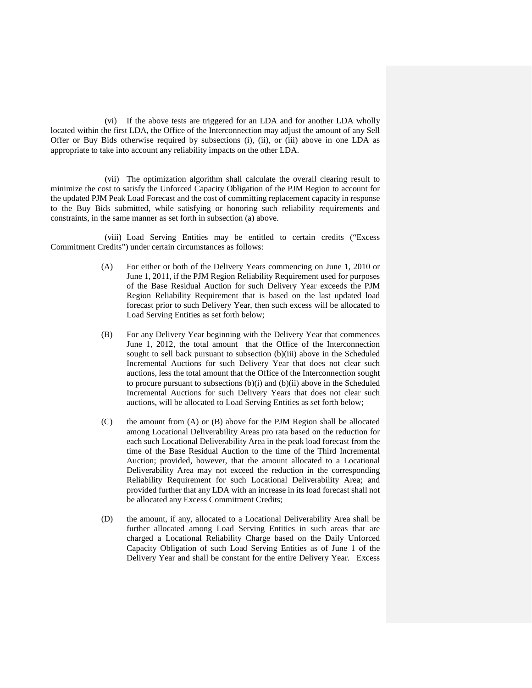(vi) If the above tests are triggered for an LDA and for another LDA wholly located within the first LDA, the Office of the Interconnection may adjust the amount of any Sell Offer or Buy Bids otherwise required by subsections (i), (ii), or (iii) above in one LDA as appropriate to take into account any reliability impacts on the other LDA.

(vii) The optimization algorithm shall calculate the overall clearing result to minimize the cost to satisfy the Unforced Capacity Obligation of the PJM Region to account for the updated PJM Peak Load Forecast and the cost of committing replacement capacity in response to the Buy Bids submitted, while satisfying or honoring such reliability requirements and constraints, in the same manner as set forth in subsection (a) above.

(viii) Load Serving Entities may be entitled to certain credits ("Excess Commitment Credits") under certain circumstances as follows:

- (A) For either or both of the Delivery Years commencing on June 1, 2010 or June 1, 2011, if the PJM Region Reliability Requirement used for purposes of the Base Residual Auction for such Delivery Year exceeds the PJM Region Reliability Requirement that is based on the last updated load forecast prior to such Delivery Year, then such excess will be allocated to Load Serving Entities as set forth below;
- (B) For any Delivery Year beginning with the Delivery Year that commences June 1, 2012, the total amount that the Office of the Interconnection sought to sell back pursuant to subsection (b)(iii) above in the Scheduled Incremental Auctions for such Delivery Year that does not clear such auctions, less the total amount that the Office of the Interconnection sought to procure pursuant to subsections (b)(i) and (b)(ii) above in the Scheduled Incremental Auctions for such Delivery Years that does not clear such auctions, will be allocated to Load Serving Entities as set forth below;
- (C) the amount from (A) or (B) above for the PJM Region shall be allocated among Locational Deliverability Areas pro rata based on the reduction for each such Locational Deliverability Area in the peak load forecast from the time of the Base Residual Auction to the time of the Third Incremental Auction; provided, however, that the amount allocated to a Locational Deliverability Area may not exceed the reduction in the corresponding Reliability Requirement for such Locational Deliverability Area; and provided further that any LDA with an increase in its load forecast shall not be allocated any Excess Commitment Credits;
- (D) the amount, if any, allocated to a Locational Deliverability Area shall be further allocated among Load Serving Entities in such areas that are charged a Locational Reliability Charge based on the Daily Unforced Capacity Obligation of such Load Serving Entities as of June 1 of the Delivery Year and shall be constant for the entire Delivery Year. Excess